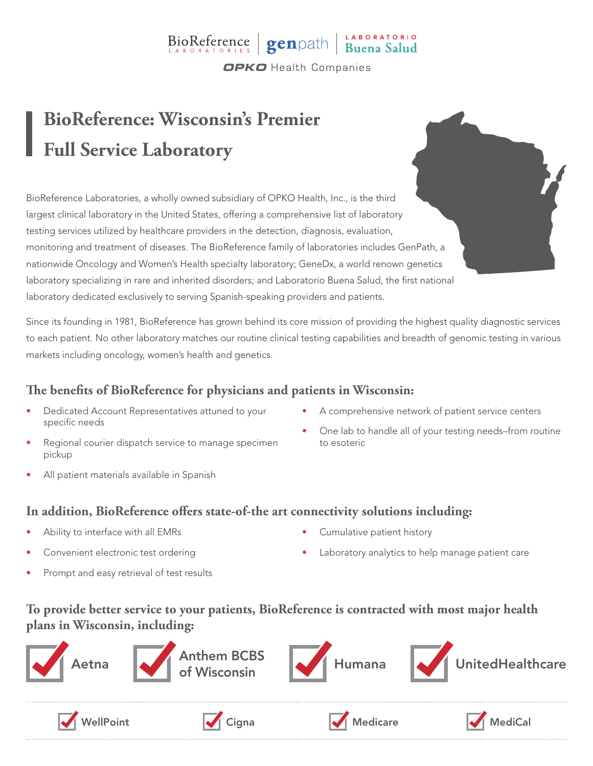## BioReference genpath Buena Salud **OPKO** Health Companies

# **BioReference: Wisconsin's Premier Full Service Laboratory**

BioReference Laboratories, a wholly owned subsidiary of OPKO Health, Inc., is the third largest clinical laboratory in the United States, offering a comprehensive list of laboratory testing services utilized by healthcare providers in the detection, diagnosis, evaluation, monitoring and treatment of diseases. The BioReference family of laboratories includes GenPath, a nationwide Oncology and Women's Health specialty laboratory; GeneDx, a world renown genetics laboratory specializing in rare and inherited disorders; and Laboratorio Buena Salud, the first national laboratory dedicated exclusively to serving Spanish-speaking providers and patients.

Since its founding in 1981, BioReference has grown behind its core mission of providing the highest quality diagnostic services to each patient. No other laboratory matches our routine clinical testing capabilities and breadth of genomic testing in various markets including oncology, women's health and genetics.

### **The benefits of BioReference for physicians and patients in Wisconsin:**

- Dedicated Account Representatives attuned to your specific needs
- Regional courier dispatch service to manage specimen pickup
- All patient materials available in Spanish
- A comprehensive network of patient service centers
- One lab to handle all of your testing needs–from routine to esoteric

#### **In addition, BioReference offers state-of-the art connectivity solutions including:**

- Ability to interface with all EMRs
- Convenient electronic test ordering
- Prompt and easy retrieval of test results
- Cumulative patient history
- Laboratory analytics to help manage patient care

### **To provide better service to your patients, BioReference is contracted with most major health plans in Wisconsin, including:**